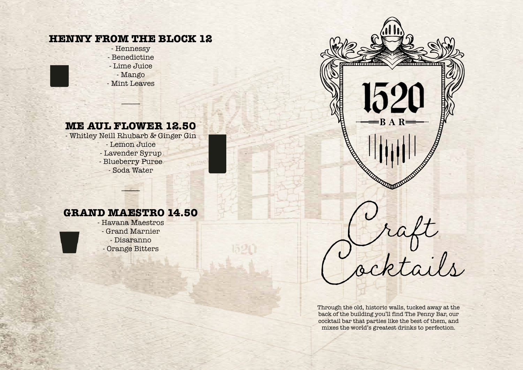# **HENNY FROM THE BLOCK 12**

- Hennessy - Benedictine - Lime Juice - Mango

- Mint Leaves

# **ME AUL FLOWER 12.50**

 $\overline{\phantom{a}}$ 

- Whitley Neill Rhubarb & Ginger Gin - Lemon Juice - Lavender Syrup - Blueberry Puree - Soda Water

## **GRAND MAESTRO 14.50**

 $E_{\rm tot}$ 

- Havana Maestros - Grand Marnier - Disaranno



Through the old, historic walls, tucked away at the back of the building you'll find The Penny Bar, our cocktail bar that parties like the best of them, and mixes the world's greatest drinks to perfection.